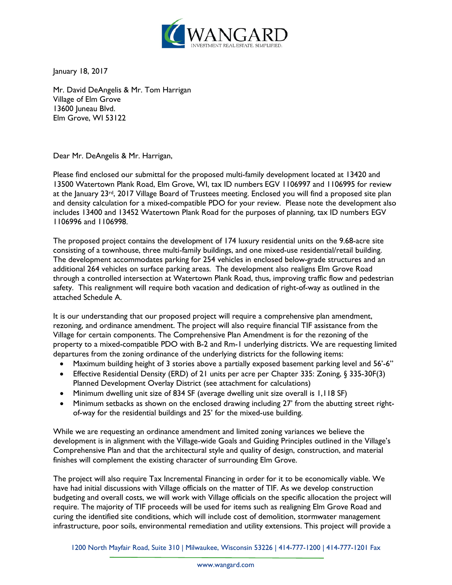

January 18, 2017

Mr. David DeAngelis & Mr. Tom Harrigan Village of Elm Grove 13600 Juneau Blvd. Elm Grove, WI 53122

Dear Mr. DeAngelis & Mr. Harrigan,

Please find enclosed our submittal for the proposed multi-family development located at 13420 and 13500 Watertown Plank Road, Elm Grove, WI, tax ID numbers EGV 1106997 and 1106995 for review at the January 23<sup>rd</sup>, 2017 Village Board of Trustees meeting. Enclosed you will find a proposed site plan and density calculation for a mixed-compatible PDO for your review. Please note the development also includes 13400 and 13452 Watertown Plank Road for the purposes of planning, tax ID numbers EGV 1106996 and 1106998.

The proposed project contains the development of 174 luxury residential units on the 9.68-acre site consisting of a townhouse, three multi-family buildings, and one mixed-use residential/retail building. The development accommodates parking for 254 vehicles in enclosed below-grade structures and an additional 264 vehicles on surface parking areas. The development also realigns Elm Grove Road through a controlled intersection at Watertown Plank Road, thus, improving traffic flow and pedestrian safety. This realignment will require both vacation and dedication of right-of-way as outlined in the attached Schedule A.

It is our understanding that our proposed project will require a comprehensive plan amendment, rezoning, and ordinance amendment. The project will also require financial TIF assistance from the Village for certain components. The Comprehensive Plan Amendment is for the rezoning of the property to a mixed-compatible PDO with B-2 and Rm-1 underlying districts. We are requesting limited departures from the zoning ordinance of the underlying districts for the following items:

- Maximum building height of 3 stories above a partially exposed basement parking level and 56'-6"
- Effective Residential Density (ERD) of 21 units per acre per Chapter 335: Zoning, § 335-30F(3) Planned Development Overlay District (see attachment for calculations)
- Minimum dwelling unit size of 834 SF (average dwelling unit size overall is 1,118 SF)
- Minimum setbacks as shown on the enclosed drawing including 27' from the abutting street rightof-way for the residential buildings and 25' for the mixed-use building.

While we are requesting an ordinance amendment and limited zoning variances we believe the development is in alignment with the Village-wide Goals and Guiding Principles outlined in the Village's Comprehensive Plan and that the architectural style and quality of design, construction, and material finishes will complement the existing character of surrounding Elm Grove.

The project will also require Tax Incremental Financing in order for it to be economically viable. We have had initial discussions with Village officials on the matter of TIF. As we develop construction budgeting and overall costs, we will work with Village officials on the specific allocation the project will require. The majority of TIF proceeds will be used for items such as realigning Elm Grove Road and curing the identified site conditions, which will include cost of demolition, stormwater management infrastructure, poor soils, environmental remediation and utility extensions. This project will provide a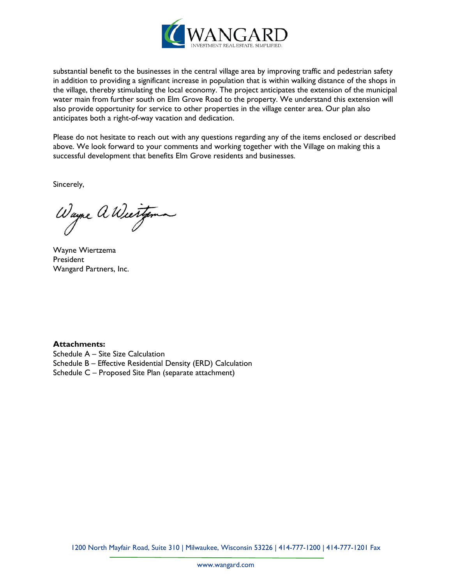

substantial benefit to the businesses in the central village area by improving traffic and pedestrian safety in addition to providing a significant increase in population that is within walking distance of the shops in the village, thereby stimulating the local economy. The project anticipates the extension of the municipal water main from further south on Elm Grove Road to the property. We understand this extension will also provide opportunity for service to other properties in the village center area. Our plan also anticipates both a right-of-way vacation and dedication.

Please do not hesitate to reach out with any questions regarding any of the items enclosed or described above. We look forward to your comments and working together with the Village on making this a successful development that benefits Elm Grove residents and businesses.

Sincerely,

Wayne a Wiertzema

Wayne Wiertzema President Wangard Partners, Inc.

**Attachments:**

Schedule A – Site Size Calculation Schedule B – Effective Residential Density (ERD) Calculation Schedule C – Proposed Site Plan (separate attachment)

1200 North Mayfair Road, Suite 310 | Milwaukee, Wisconsin 53226 | 414-777-1200 | 414-777-1201 Fax